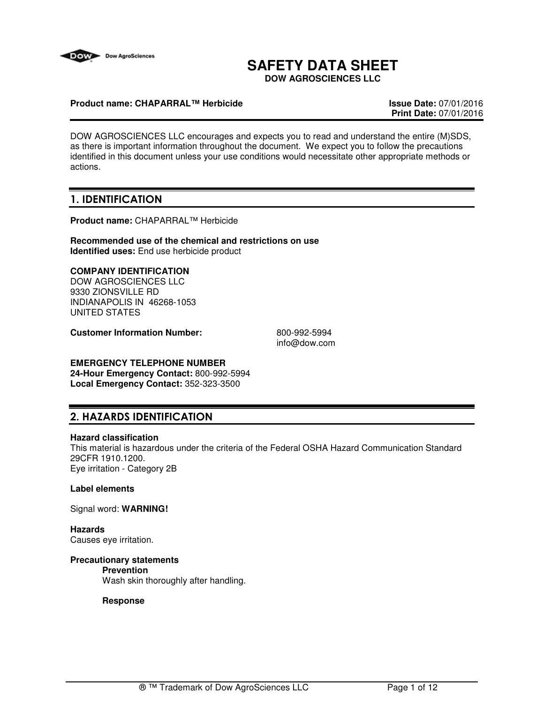

# **SAFETY DATA SHEET**

**DOW AGROSCIENCES LLC**

#### **Product name: CHAPARRAL™ Herbicide Issue Date:** 07/01/2016

**Print Date:** 07/01/2016

DOW AGROSCIENCES LLC encourages and expects you to read and understand the entire (M)SDS, as there is important information throughout the document. We expect you to follow the precautions identified in this document unless your use conditions would necessitate other appropriate methods or actions.

## **1. IDENTIFICATION**

**Product name:** CHAPARRAL™ Herbicide

**Recommended use of the chemical and restrictions on use Identified uses:** End use herbicide product

#### **COMPANY IDENTIFICATION**

DOW AGROSCIENCES LLC 9330 ZIONSVILLE RD INDIANAPOLIS IN 46268-1053 UNITED STATES

**Customer Information Number:** 800-992-5994

info@dow.com

## **EMERGENCY TELEPHONE NUMBER**

**24-Hour Emergency Contact:** 800-992-5994 **Local Emergency Contact:** 352-323-3500

## **2. HAZARDS IDENTIFICATION**

#### **Hazard classification**

This material is hazardous under the criteria of the Federal OSHA Hazard Communication Standard 29CFR 1910.1200. Eye irritation - Category 2B

### **Label elements**

Signal word: **WARNING!**

**Hazards** Causes eye irritation.

## **Precautionary statements**

## **Prevention**

Wash skin thoroughly after handling.

#### **Response**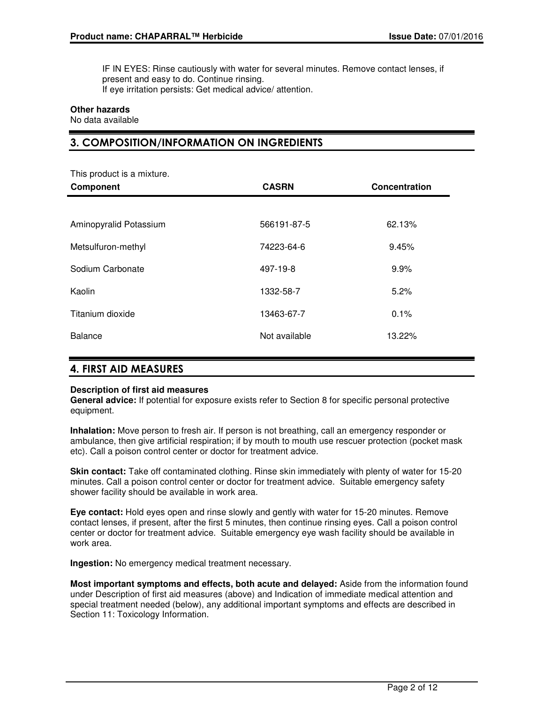IF IN EYES: Rinse cautiously with water for several minutes. Remove contact lenses, if present and easy to do. Continue rinsing. If eye irritation persists: Get medical advice/ attention.

#### **Other hazards**

No data available

## **3. COMPOSITION/INFORMATION ON INGREDIENTS**

| This product is a mixture.<br><b>Component</b> | <b>CASRN</b>  | Concentration |
|------------------------------------------------|---------------|---------------|
|                                                |               |               |
| Aminopyralid Potassium                         | 566191-87-5   | 62.13%        |
| Metsulfuron-methyl                             | 74223-64-6    | 9.45%         |
| Sodium Carbonate                               | 497-19-8      | 9.9%          |
| Kaolin                                         | 1332-58-7     | 5.2%          |
| Titanium dioxide                               | 13463-67-7    | 0.1%          |
| <b>Balance</b>                                 | Not available | 13.22%        |

## **4. FIRST AID MEASURES**

#### **Description of first aid measures**

**General advice:** If potential for exposure exists refer to Section 8 for specific personal protective equipment.

**Inhalation:** Move person to fresh air. If person is not breathing, call an emergency responder or ambulance, then give artificial respiration; if by mouth to mouth use rescuer protection (pocket mask etc). Call a poison control center or doctor for treatment advice.

**Skin contact:** Take off contaminated clothing. Rinse skin immediately with plenty of water for 15-20 minutes. Call a poison control center or doctor for treatment advice. Suitable emergency safety shower facility should be available in work area.

**Eye contact:** Hold eyes open and rinse slowly and gently with water for 15-20 minutes. Remove contact lenses, if present, after the first 5 minutes, then continue rinsing eyes. Call a poison control center or doctor for treatment advice. Suitable emergency eye wash facility should be available in work area.

**Ingestion:** No emergency medical treatment necessary.

**Most important symptoms and effects, both acute and delayed:** Aside from the information found under Description of first aid measures (above) and Indication of immediate medical attention and special treatment needed (below), any additional important symptoms and effects are described in Section 11: Toxicology Information.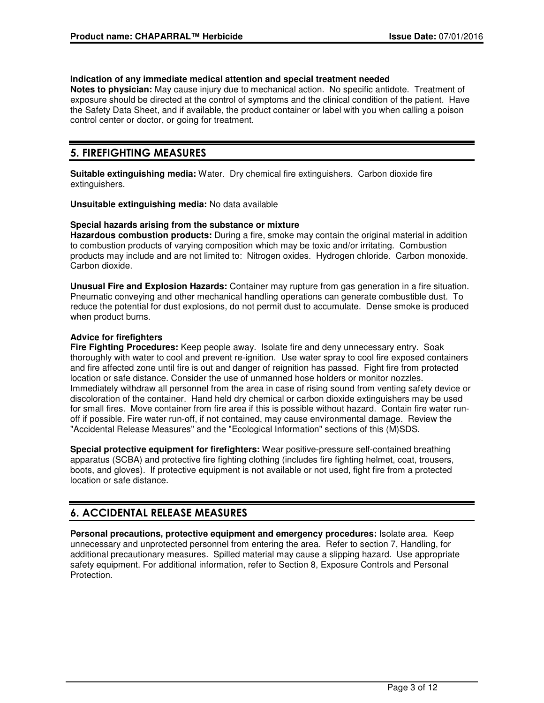#### **Indication of any immediate medical attention and special treatment needed**

**Notes to physician:** May cause injury due to mechanical action. No specific antidote. Treatment of exposure should be directed at the control of symptoms and the clinical condition of the patient. Have the Safety Data Sheet, and if available, the product container or label with you when calling a poison control center or doctor, or going for treatment.

## **5. FIREFIGHTING MEASURES**

**Suitable extinguishing media:** Water. Dry chemical fire extinguishers. Carbon dioxide fire extinguishers.

**Unsuitable extinguishing media:** No data available

#### **Special hazards arising from the substance or mixture**

**Hazardous combustion products:** During a fire, smoke may contain the original material in addition to combustion products of varying composition which may be toxic and/or irritating. Combustion products may include and are not limited to: Nitrogen oxides. Hydrogen chloride. Carbon monoxide. Carbon dioxide.

**Unusual Fire and Explosion Hazards:** Container may rupture from gas generation in a fire situation. Pneumatic conveying and other mechanical handling operations can generate combustible dust. To reduce the potential for dust explosions, do not permit dust to accumulate. Dense smoke is produced when product burns.

#### **Advice for firefighters**

**Fire Fighting Procedures:** Keep people away. Isolate fire and deny unnecessary entry. Soak thoroughly with water to cool and prevent re-ignition. Use water spray to cool fire exposed containers and fire affected zone until fire is out and danger of reignition has passed. Fight fire from protected location or safe distance. Consider the use of unmanned hose holders or monitor nozzles. Immediately withdraw all personnel from the area in case of rising sound from venting safety device or discoloration of the container. Hand held dry chemical or carbon dioxide extinguishers may be used for small fires. Move container from fire area if this is possible without hazard. Contain fire water runoff if possible. Fire water run-off, if not contained, may cause environmental damage. Review the "Accidental Release Measures" and the "Ecological Information" sections of this (M)SDS.

**Special protective equipment for firefighters:** Wear positive-pressure self-contained breathing apparatus (SCBA) and protective fire fighting clothing (includes fire fighting helmet, coat, trousers, boots, and gloves). If protective equipment is not available or not used, fight fire from a protected location or safe distance.

## **6. ACCIDENTAL RELEASE MEASURES**

**Personal precautions, protective equipment and emergency procedures:** Isolate area. Keep unnecessary and unprotected personnel from entering the area. Refer to section 7, Handling, for additional precautionary measures. Spilled material may cause a slipping hazard. Use appropriate safety equipment. For additional information, refer to Section 8, Exposure Controls and Personal Protection.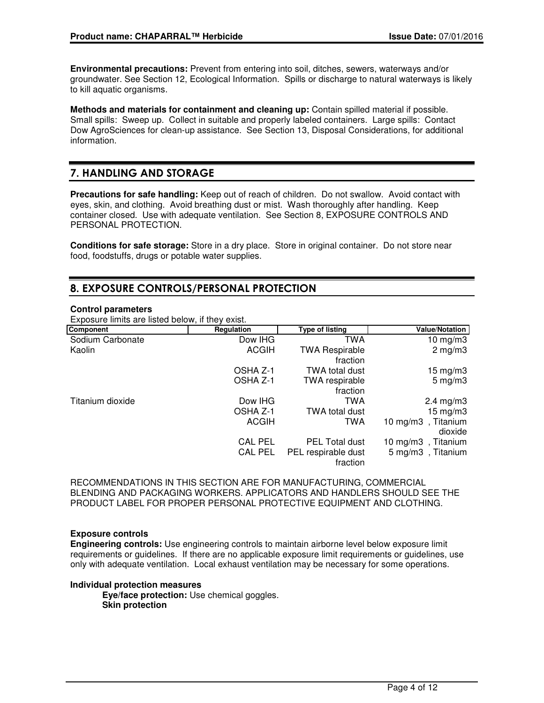**Environmental precautions:** Prevent from entering into soil, ditches, sewers, waterways and/or groundwater. See Section 12, Ecological Information. Spills or discharge to natural waterways is likely to kill aquatic organisms.

**Methods and materials for containment and cleaning up:** Contain spilled material if possible. Small spills: Sweep up. Collect in suitable and properly labeled containers. Large spills: Contact Dow AgroSciences for clean-up assistance. See Section 13, Disposal Considerations, for additional information.

## **7. HANDLING AND STORAGE**

**Precautions for safe handling:** Keep out of reach of children. Do not swallow. Avoid contact with eyes, skin, and clothing. Avoid breathing dust or mist. Wash thoroughly after handling. Keep container closed. Use with adequate ventilation. See Section 8, EXPOSURE CONTROLS AND PERSONAL PROTECTION.

**Conditions for safe storage:** Store in a dry place. Store in original container. Do not store near food, foodstuffs, drugs or potable water supplies.

## **8. EXPOSURE CONTROLS/PERSONAL PROTECTION**

#### **Control parameters**

Exposure limits are listed below, if they exist.

| Component        | Regulation     | <b>Type of listing</b>            | <b>Value/Notation</b>         |
|------------------|----------------|-----------------------------------|-------------------------------|
| Sodium Carbonate | Dow IHG        | TWA                               | 10 mg/m $3$                   |
| Kaolin           | <b>ACGIH</b>   | <b>TWA Respirable</b><br>fraction | $2 \text{ mg/m}$              |
|                  | OSHA Z-1       | <b>TWA total dust</b>             | $15 \text{ mg/m}$ 3           |
|                  | OSHA Z-1       | <b>TWA</b> respirable<br>fraction | $5 \text{ mg/m}$ 3            |
| Titanium dioxide | Dow IHG        | TWA                               | $2.4 \text{ mg/m}$ 3          |
|                  | OSHA Z-1       | TWA total dust                    | $15 \text{ mg/m}$             |
|                  | <b>ACGIH</b>   | TWA                               | 10 mg/m3, Titanium<br>dioxide |
|                  | <b>CAL PEL</b> | <b>PEL Total dust</b>             | 10 mg/m3, Titanium            |
|                  | <b>CAL PEL</b> | PEL respirable dust<br>fraction   | 5 mg/m3, Titanium             |

RECOMMENDATIONS IN THIS SECTION ARE FOR MANUFACTURING, COMMERCIAL BLENDING AND PACKAGING WORKERS. APPLICATORS AND HANDLERS SHOULD SEE THE PRODUCT LABEL FOR PROPER PERSONAL PROTECTIVE EQUIPMENT AND CLOTHING.

#### **Exposure controls**

**Engineering controls:** Use engineering controls to maintain airborne level below exposure limit requirements or guidelines. If there are no applicable exposure limit requirements or guidelines, use only with adequate ventilation. Local exhaust ventilation may be necessary for some operations.

#### **Individual protection measures**

**Eye/face protection:** Use chemical goggles. **Skin protection**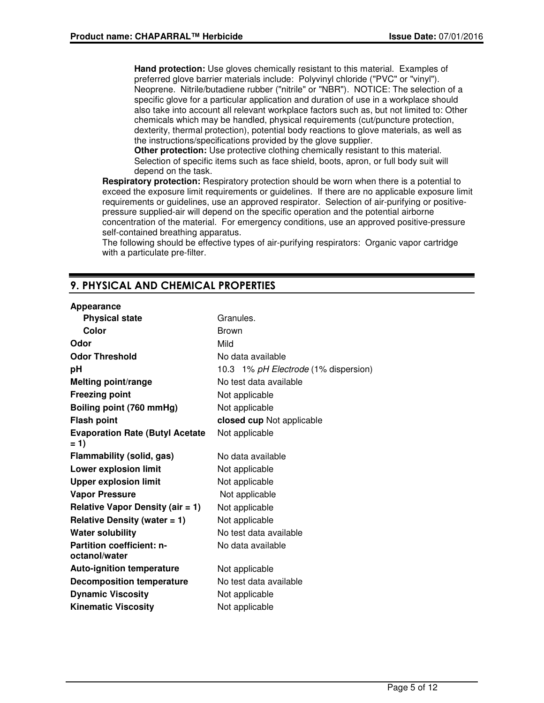**Hand protection:** Use gloves chemically resistant to this material. Examples of preferred glove barrier materials include: Polyvinyl chloride ("PVC" or "vinyl"). Neoprene. Nitrile/butadiene rubber ("nitrile" or "NBR"). NOTICE: The selection of a specific glove for a particular application and duration of use in a workplace should also take into account all relevant workplace factors such as, but not limited to: Other chemicals which may be handled, physical requirements (cut/puncture protection, dexterity, thermal protection), potential body reactions to glove materials, as well as the instructions/specifications provided by the glove supplier.

**Other protection:** Use protective clothing chemically resistant to this material. Selection of specific items such as face shield, boots, apron, or full body suit will depend on the task.

**Respiratory protection:** Respiratory protection should be worn when there is a potential to exceed the exposure limit requirements or guidelines. If there are no applicable exposure limit requirements or guidelines, use an approved respirator. Selection of air-purifying or positivepressure supplied-air will depend on the specific operation and the potential airborne concentration of the material. For emergency conditions, use an approved positive-pressure self-contained breathing apparatus.

The following should be effective types of air-purifying respirators: Organic vapor cartridge with a particulate pre-filter.

## **9. PHYSICAL AND CHEMICAL PROPERTIES**

#### **Appearance**

| <b>Physical state</b>                             | Granules.                            |
|---------------------------------------------------|--------------------------------------|
| Color                                             | <b>Brown</b>                         |
| Odor                                              | Mild                                 |
| <b>Odor Threshold</b>                             | No data available                    |
| рH                                                | 10.3 1% pH Electrode (1% dispersion) |
| <b>Melting point/range</b>                        | No test data available               |
| <b>Freezing point</b>                             | Not applicable                       |
| Boiling point (760 mmHg)                          | Not applicable                       |
| <b>Flash point</b>                                | closed cup Not applicable            |
| <b>Evaporation Rate (Butyl Acetate</b><br>$= 1$   | Not applicable                       |
| <b>Flammability (solid, gas)</b>                  | No data available                    |
| <b>Lower explosion limit</b>                      | Not applicable                       |
| <b>Upper explosion limit</b>                      | Not applicable                       |
| <b>Vapor Pressure</b>                             | Not applicable                       |
| Relative Vapor Density (air $= 1$ )               | Not applicable                       |
| Relative Density (water $= 1$ )                   | Not applicable                       |
| <b>Water solubility</b>                           | No test data available               |
| <b>Partition coefficient: n-</b><br>octanol/water | No data available                    |
| <b>Auto-ignition temperature</b>                  | Not applicable                       |
| <b>Decomposition temperature</b>                  | No test data available               |
| <b>Dynamic Viscosity</b>                          | Not applicable                       |
| <b>Kinematic Viscosity</b>                        | Not applicable                       |
|                                                   |                                      |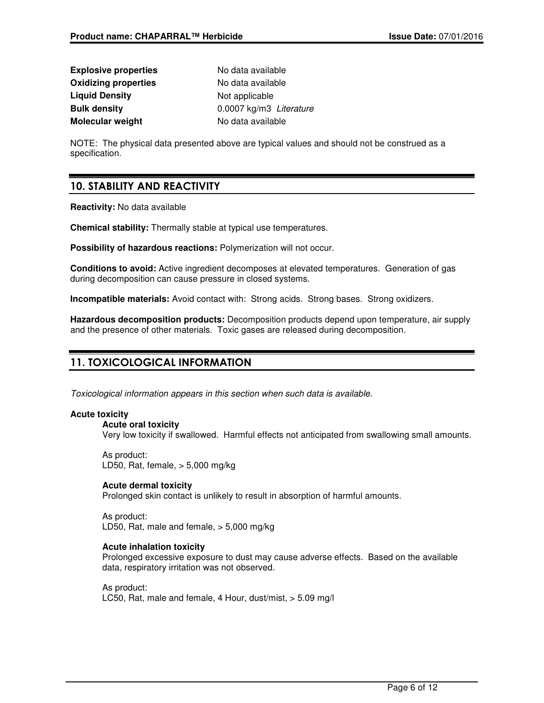| <b>Explosive properties</b> | No data available       |  |
|-----------------------------|-------------------------|--|
| <b>Oxidizing properties</b> | No data available       |  |
| <b>Liquid Density</b>       | Not applicable          |  |
| <b>Bulk density</b>         | 0.0007 kg/m3 Literature |  |
| Molecular weight            | No data available       |  |

NOTE: The physical data presented above are typical values and should not be construed as a specification.

## **10. STABILITY AND REACTIVITY**

**Reactivity:** No data available

**Chemical stability:** Thermally stable at typical use temperatures.

**Possibility of hazardous reactions:** Polymerization will not occur.

**Conditions to avoid:** Active ingredient decomposes at elevated temperatures. Generation of gas during decomposition can cause pressure in closed systems.

**Incompatible materials:** Avoid contact with: Strong acids. Strong bases. Strong oxidizers.

**Hazardous decomposition products:** Decomposition products depend upon temperature, air supply and the presence of other materials. Toxic gases are released during decomposition.

## **11. TOXICOLOGICAL INFORMATION**

Toxicological information appears in this section when such data is available.

### **Acute toxicity**

**Acute oral toxicity**

Very low toxicity if swallowed. Harmful effects not anticipated from swallowing small amounts.

As product: LD50, Rat, female, > 5,000 mg/kg

### **Acute dermal toxicity**

Prolonged skin contact is unlikely to result in absorption of harmful amounts.

As product: LD50, Rat, male and female, > 5,000 mg/kg

### **Acute inhalation toxicity**

Prolonged excessive exposure to dust may cause adverse effects. Based on the available data, respiratory irritation was not observed.

As product: LC50, Rat, male and female, 4 Hour, dust/mist, > 5.09 mg/l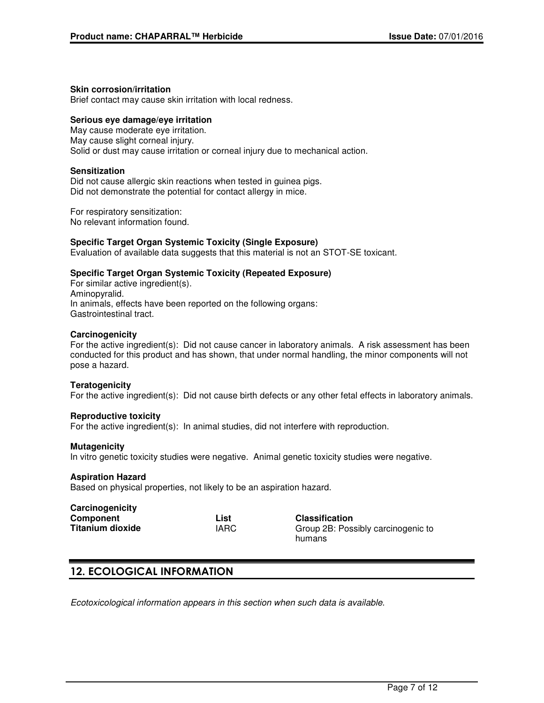#### **Skin corrosion/irritation**

Brief contact may cause skin irritation with local redness.

#### **Serious eye damage/eye irritation**

May cause moderate eye irritation. May cause slight corneal injury. Solid or dust may cause irritation or corneal injury due to mechanical action.

#### **Sensitization**

Did not cause allergic skin reactions when tested in guinea pigs. Did not demonstrate the potential for contact allergy in mice.

For respiratory sensitization: No relevant information found.

#### **Specific Target Organ Systemic Toxicity (Single Exposure)**

Evaluation of available data suggests that this material is not an STOT-SE toxicant.

#### **Specific Target Organ Systemic Toxicity (Repeated Exposure)**

For similar active ingredient(s). Aminopyralid. In animals, effects have been reported on the following organs: Gastrointestinal tract.

#### **Carcinogenicity**

For the active ingredient(s): Did not cause cancer in laboratory animals. A risk assessment has been conducted for this product and has shown, that under normal handling, the minor components will not pose a hazard.

#### **Teratogenicity**

For the active ingredient(s): Did not cause birth defects or any other fetal effects in laboratory animals.

#### **Reproductive toxicity**

For the active ingredient(s): In animal studies, did not interfere with reproduction.

#### **Mutagenicity**

In vitro genetic toxicity studies were negative. Animal genetic toxicity studies were negative.

#### **Aspiration Hazard**

Based on physical properties, not likely to be an aspiration hazard.

| Carcinogenicity         |             |
|-------------------------|-------------|
| Component               | List        |
| <b>Titanium dioxide</b> | <b>IARC</b> |

**Classification** Group 2B: Possibly carcinogenic to humans

## **12. ECOLOGICAL INFORMATION**

Ecotoxicological information appears in this section when such data is available.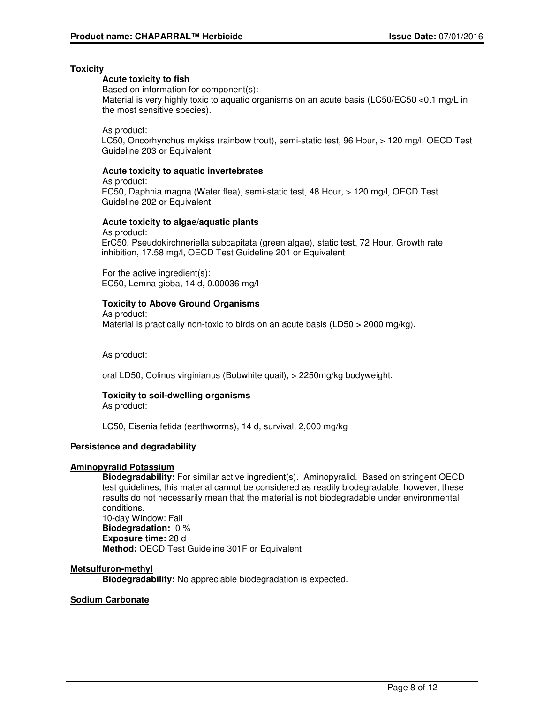#### **Toxicity**

#### **Acute toxicity to fish**

Based on information for component(s):

Material is very highly toxic to aquatic organisms on an acute basis (LC50/EC50 <0.1 mg/L in the most sensitive species).

As product:

LC50, Oncorhynchus mykiss (rainbow trout), semi-static test, 96 Hour, > 120 mg/l, OECD Test Guideline 203 or Equivalent

#### **Acute toxicity to aquatic invertebrates**

As product:

EC50, Daphnia magna (Water flea), semi-static test, 48 Hour, > 120 mg/l, OECD Test Guideline 202 or Equivalent

#### **Acute toxicity to algae/aquatic plants**

As product: ErC50, Pseudokirchneriella subcapitata (green algae), static test, 72 Hour, Growth rate inhibition, 17.58 mg/l, OECD Test Guideline 201 or Equivalent

For the active ingredient(s): EC50, Lemna gibba, 14 d, 0.00036 mg/l

#### **Toxicity to Above Ground Organisms**

As product:

Material is practically non-toxic to birds on an acute basis (LD50 > 2000 mg/kg).

As product:

oral LD50, Colinus virginianus (Bobwhite quail), > 2250mg/kg bodyweight.

#### **Toxicity to soil-dwelling organisms** As product:

LC50, Eisenia fetida (earthworms), 14 d, survival, 2,000 mg/kg

### **Persistence and degradability**

#### **Aminopyralid Potassium**

**Biodegradability:** For similar active ingredient(s). Aminopyralid. Based on stringent OECD test guidelines, this material cannot be considered as readily biodegradable; however, these results do not necessarily mean that the material is not biodegradable under environmental conditions.

10-day Window: Fail **Biodegradation:** 0 % **Exposure time:** 28 d **Method:** OECD Test Guideline 301F or Equivalent

#### **Metsulfuron-methyl**

**Biodegradability:** No appreciable biodegradation is expected.

#### **Sodium Carbonate**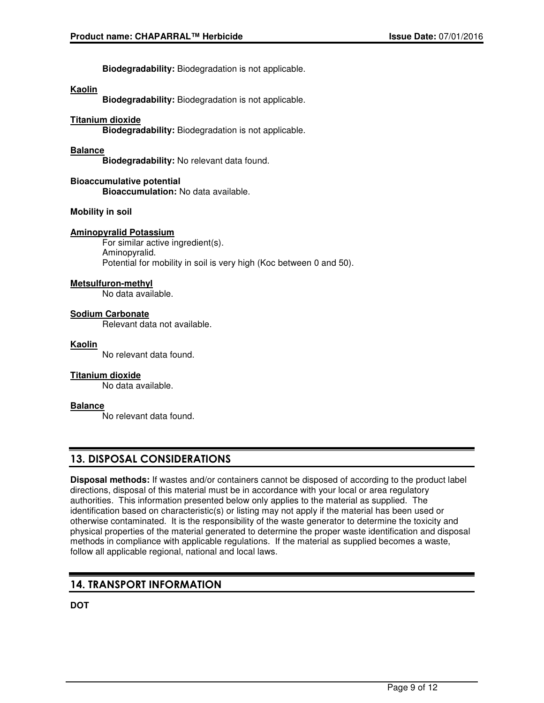**Biodegradability:** Biodegradation is not applicable.

#### **Kaolin**

**Biodegradability:** Biodegradation is not applicable.

#### **Titanium dioxide**

**Biodegradability:** Biodegradation is not applicable.

#### **Balance**

**Biodegradability:** No relevant data found.

#### **Bioaccumulative potential Bioaccumulation:** No data available.

#### **Mobility in soil**

#### **Aminopyralid Potassium**

For similar active ingredient(s). Aminopyralid. Potential for mobility in soil is very high (Koc between 0 and 50).

#### **Metsulfuron-methyl**

No data available.

#### **Sodium Carbonate**

Relevant data not available.

#### **Kaolin**

No relevant data found.

#### **Titanium dioxide**

No data available.

#### **Balance**

No relevant data found.

## **13. DISPOSAL CONSIDERATIONS**

**Disposal methods:** If wastes and/or containers cannot be disposed of according to the product label directions, disposal of this material must be in accordance with your local or area regulatory authorities. This information presented below only applies to the material as supplied. The identification based on characteristic(s) or listing may not apply if the material has been used or otherwise contaminated. It is the responsibility of the waste generator to determine the toxicity and physical properties of the material generated to determine the proper waste identification and disposal methods in compliance with applicable regulations. If the material as supplied becomes a waste, follow all applicable regional, national and local laws.

## **14. TRANSPORT INFORMATION**

**DOT**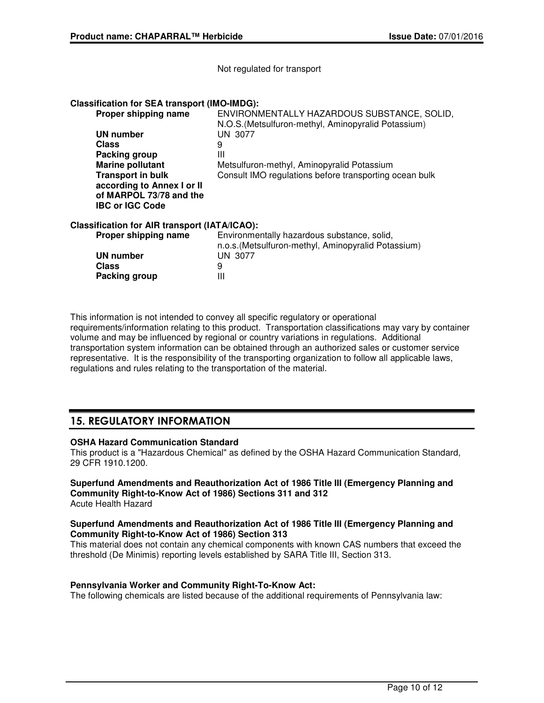Not regulated for transport

#### **Classification for SEA transport (IMO-IMDG):**

| Proper shipping name                          | ENVIRONMENTALLY HAZARDOUS SUBSTANCE, SOLID,<br>N.O.S. (Metsulfuron-methyl, Aminopyralid Potassium) |
|-----------------------------------------------|----------------------------------------------------------------------------------------------------|
| <b>UN number</b>                              | UN 3077                                                                                            |
| Class                                         | 9                                                                                                  |
| Packing group                                 | Ш                                                                                                  |
| <b>Marine pollutant</b>                       | Metsulfuron-methyl, Aminopyralid Potassium                                                         |
| <b>Transport in bulk</b>                      | Consult IMO regulations before transporting ocean bulk                                             |
| according to Annex I or II                    |                                                                                                    |
| of MARPOL 73/78 and the                       |                                                                                                    |
| <b>IBC or IGC Code</b>                        |                                                                                                    |
| Classification for AIR transport (IATA/ICAO): |                                                                                                    |
| Proper shipping name                          | Environmentally hazardous substance, solid,<br>n.o.s. (Metsulfuron-methyl, Aminopyralid Potassium) |
| <b>UN number</b>                              | UN 3077                                                                                            |
| <b>Class</b>                                  | 9                                                                                                  |
| Packing group                                 | Ш                                                                                                  |
|                                               |                                                                                                    |

This information is not intended to convey all specific regulatory or operational requirements/information relating to this product. Transportation classifications may vary by container volume and may be influenced by regional or country variations in regulations. Additional transportation system information can be obtained through an authorized sales or customer service representative. It is the responsibility of the transporting organization to follow all applicable laws, regulations and rules relating to the transportation of the material.

## **15. REGULATORY INFORMATION**

#### **OSHA Hazard Communication Standard**

This product is a "Hazardous Chemical" as defined by the OSHA Hazard Communication Standard, 29 CFR 1910.1200.

#### **Superfund Amendments and Reauthorization Act of 1986 Title III (Emergency Planning and Community Right-to-Know Act of 1986) Sections 311 and 312** Acute Health Hazard

#### **Superfund Amendments and Reauthorization Act of 1986 Title III (Emergency Planning and Community Right-to-Know Act of 1986) Section 313**

This material does not contain any chemical components with known CAS numbers that exceed the threshold (De Minimis) reporting levels established by SARA Title III, Section 313.

#### **Pennsylvania Worker and Community Right-To-Know Act:**

The following chemicals are listed because of the additional requirements of Pennsylvania law: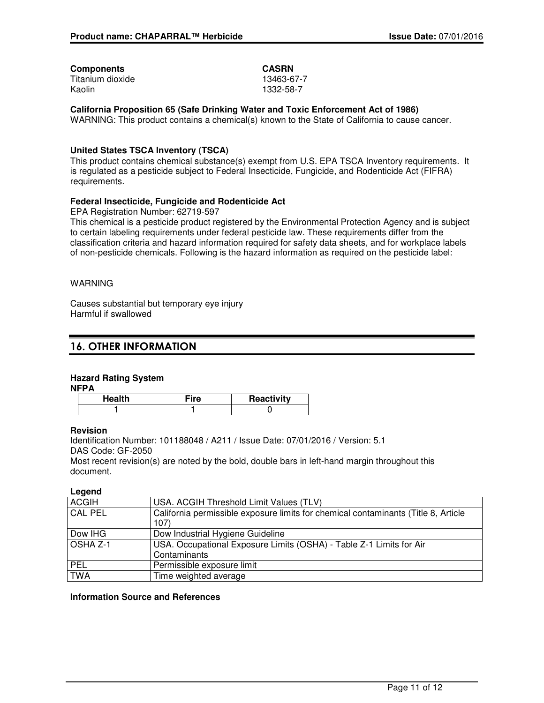### **Components CASRN**

Titanium dioxide 13463-67-7 Kaolin 1332-58-7

**California Proposition 65 (Safe Drinking Water and Toxic Enforcement Act of 1986)**

WARNING: This product contains a chemical(s) known to the State of California to cause cancer.

#### **United States TSCA Inventory (TSCA)**

This product contains chemical substance(s) exempt from U.S. EPA TSCA Inventory requirements. It is regulated as a pesticide subject to Federal Insecticide, Fungicide, and Rodenticide Act (FIFRA) requirements.

#### **Federal Insecticide, Fungicide and Rodenticide Act**

EPA Registration Number: 62719-597

This chemical is a pesticide product registered by the Environmental Protection Agency and is subject to certain labeling requirements under federal pesticide law. These requirements differ from the classification criteria and hazard information required for safety data sheets, and for workplace labels of non-pesticide chemicals. Following is the hazard information as required on the pesticide label:

#### WARNING

Causes substantial but temporary eye injury Harmful if swallowed

## **16. OTHER INFORMATION**

#### **Hazard Rating System**

**NFPA**

| ¨re | Reactivity |
|-----|------------|
|     |            |

#### **Revision**

Identification Number: 101188048 / A211 / Issue Date: 07/01/2016 / Version: 5.1 DAS Code: GF-2050

Most recent revision(s) are noted by the bold, double bars in left-hand margin throughout this document.

#### **Legend**

| <b>ACGIH</b>   | USA. ACGIH Threshold Limit Values (TLV)                                            |
|----------------|------------------------------------------------------------------------------------|
| <b>CAL PEL</b> | California permissible exposure limits for chemical contaminants (Title 8, Article |
|                | 107)                                                                               |
| Dow IHG        | Dow Industrial Hygiene Guideline                                                   |
| OSHA Z-1       | USA. Occupational Exposure Limits (OSHA) - Table Z-1 Limits for Air                |
|                | Contaminants                                                                       |
| PEL            | Permissible exposure limit                                                         |
| <b>TWA</b>     | Time weighted average                                                              |
|                |                                                                                    |

#### **Information Source and References**